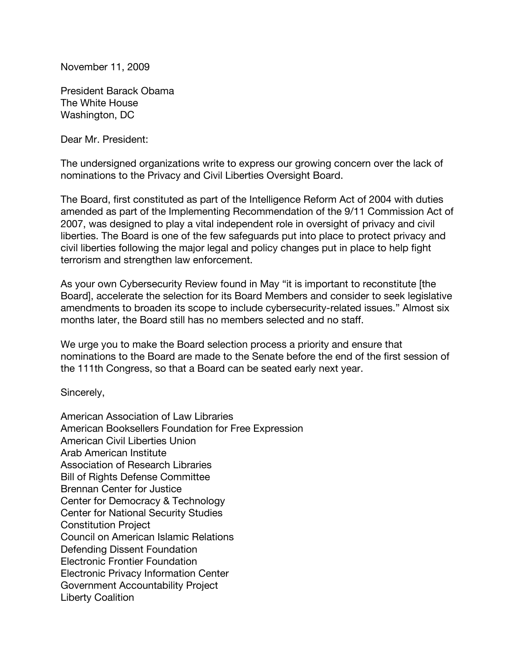November 11, 2009

President Barack Obama The White House Washington, DC

Dear Mr. President:

The undersigned organizations write to express our growing concern over the lack of nominations to the Privacy and Civil Liberties Oversight Board.

The Board, first constituted as part of the Intelligence Reform Act of 2004 with duties amended as part of the Implementing Recommendation of the 9/11 Commission Act of 2007, was designed to play a vital independent role in oversight of privacy and civil liberties. The Board is one of the few safeguards put into place to protect privacy and civil liberties following the major legal and policy changes put in place to help fight terrorism and strengthen law enforcement.

As your own Cybersecurity Review found in May "it is important to reconstitute [the Board], accelerate the selection for its Board Members and consider to seek legislative amendments to broaden its scope to include cybersecurity-related issues." Almost six months later, the Board still has no members selected and no staff.

We urge you to make the Board selection process a priority and ensure that nominations to the Board are made to the Senate before the end of the first session of the 111th Congress, so that a Board can be seated early next year.

Sincerely,

American Association of Law Libraries American Booksellers Foundation for Free Expression American Civil Liberties Union Arab American Institute Association of Research Libraries Bill of Rights Defense Committee Brennan Center for Justice Center for Democracy & Technology Center for National Security Studies Constitution Project Council on American Islamic Relations Defending Dissent Foundation Electronic Frontier Foundation Electronic Privacy Information Center Government Accountability Project Liberty Coalition